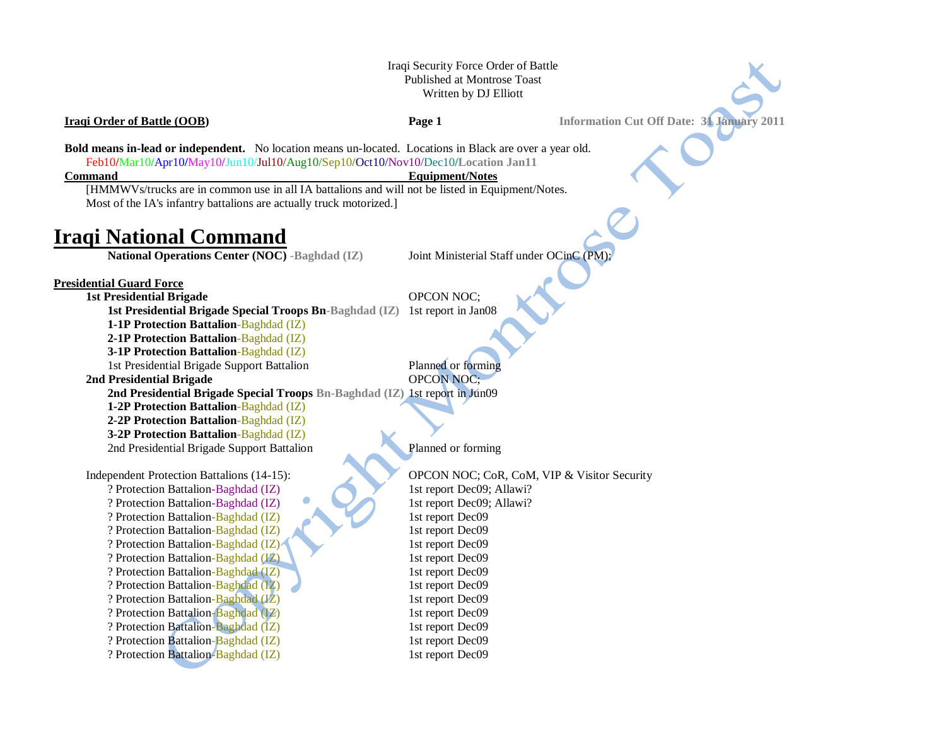## Iraqi Security Force Order of Battle Published at Montrose Toast Written by DJ Elliott

**Iraqi Order of Battle (OOB) Page 1 Information Cut Off Date: 31 January 2011** 

**Bold means in-lead or independent.** No location means un-located. Locations in Black are over a year old. Feb10**/**Mar10**/**Apr10**/**May10**/**Jun10/Jul10/Aug10/Sep10**/**Oct10/Nov10/Dec10**/Location Jan11**

### **Command** Equipment/Notes

[HMMWVs/trucks are in common use in all IA battalions and will not be listed in Equipment/Notes. Most of the IA's infantry battalions are actually truck motorized.]

# **Iraqi National Command**

**National Operations Center (NOC) -Baghdad (IZ)** Joint Ministerial Staff under OCinC (PM);

### **Presidential Guard Force**

**1st Presidential Brigade** OPCON NOC;

**1st Presidential Brigade Special Troops Bn-Baghdad (IZ)** 1st report in Jan08

**1-1P Protection Battalion**-Baghdad (IZ)

**2-1P Protection Battalion**-Baghdad (IZ)

**3-1P Protection Battalion**-Baghdad (IZ)

1st Presidential Brigade Support Battalion Planned or forming

**2nd Presidential Brigade** OPCON NOC;

**2nd Presidential Brigade Special Troops Bn-Baghdad (IZ)** 1st report in Jun09

**1-2P Protection Battalion**-Baghdad (IZ)

**2-2P Protection Battalion**-Baghdad (IZ)

**3-2P Protection Battalion**-Baghdad (IZ) 2nd Presidential Brigade Support Battalion Planned or forming

? Protection Battalion-Baghdad (IZ) 1st report Dec09; Allawi? ? Protection Battalion-Baghdad (IZ) 1st report Dec09; Allawi? ? Protection Battalion-Baghdad (IZ) 1st report Dec09 ? Protection Battalion-Baghdad (IZ) 1st report Dec09 ? Protection Battalion-Baghdad (IZ) 1st report Dec09 ? Protection Battalion-Baghdad (IZ) 1st report Dec09 ? Protection Battalion-Baghdad (IZ) 1st report Dec09 ? Protection Battalion-Baghdad (IZ) 1st report Dec09 ? Protection Battalion-Baghdad (IZ) 1st report Dec09 ? Protection Battalion-Baghdad (IZ) 1st report Dec09 ? Protection Battalion-Baghdad (IZ) 1st report Dec09

Independent Protection Battalions (14-15): OPCON NOC; CoR, CoM, VIP & Visitor Security ? Protection Battalion-Baghdad (IZ) 1st report Dec09 ? Protection Battalion-Baghdad (IZ) 1st report Dec09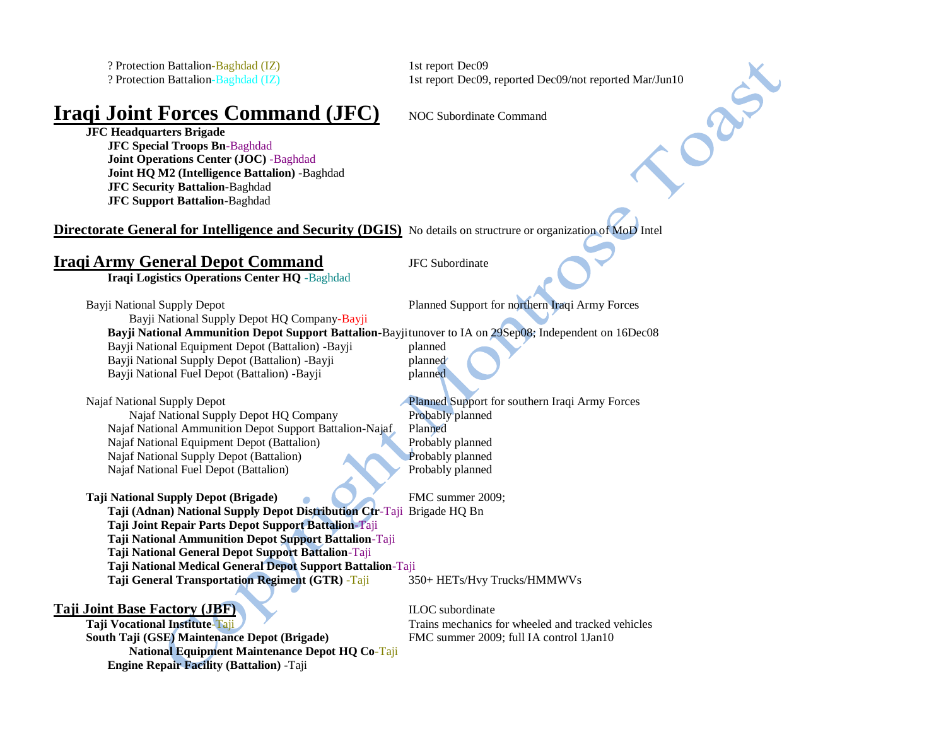? Protection Battalion-Baghdad (IZ) 1st report Dec09

**Iraqi Joint Forces Command (JFC)** NOC Subordinate Command

Protection Battalion-Baghdad (IZ)<br>
2 Protection Battalion-Baghdad (IZ)<br>
1st report Dec09, reported Dec09/not reported Mar/Jun10<br>
1st report Dec09, reported Dec09/not reported Mar/Jun10<br>
1st report Dec09, reported Dec09/not **JFC Headquarters Brigade JFC Special Troops Bn**-Baghdad **Joint Operations Center (JOC)** -Baghdad **Joint HQ M2 (Intelligence Battalion)** -Baghdad **JFC Security Battalion**-Baghdad **JFC Support Battalion**-Baghdad

**Directorate General for Intelligence and Security (DGIS)** No details on structrure or organization of MoD Intel

# **Iraqi Army General Depot Command** JFC Subordinate

**Iraqi Logistics Operations Center HQ** -Baghdad

Bayji National Supply Depot Planned Support for northern Iraqi Army Forces

Bayji National Supply Depot HQ Company-Bayji

**Bayji National Ammunition Depot Support Battalion**-Bayjitunover to IA on 29Sep08; Independent on 16Dec08

Bayji National Equipment Depot (Battalion) -Bayji planned Bayji National Supply Depot (Battalion) -Bayji planned Bayji National Fuel Depot (Battalion) -Bayji planned

Najaf National Supply Depot Planned Support for southern Iraqi Army Forces

Najaf National Supply Depot HQ Company Probably planned Najaf National Ammunition Depot Support Battalion-Najaf Planned Najaf National Equipment Depot (Battalion) Probably planned Najaf National Supply Depot (Battalion) Probably planned Najaf National Fuel Depot (Battalion) Probably planned

## **Taji National Supply Depot (Brigade)** FMC summer 2009;

**Taji (Adnan) National Supply Depot Distribution Ctr**-Taji Brigade HQ Bn **Taji Joint Repair Parts Depot Support Battalion**-Taji **Taji National Ammunition Depot Support Battalion**-Taji

**Taji National General Depot Support Battalion**-Taji

**Taji National Medical General Depot Support Battalion**-Taji

**Taji General Transportation Regiment (GTR)** -Taji 350+ HETs/Hvy Trucks/HMMWVs

**Taji Joint Base Factory (JBF) ILOC** subordinate

**Taji Vocational Institute-Taji Trains mechanics for wheeled and tracked vehicles South Taji (GSE) Maintenance Depot (Brigade)** FMC summer 2009; full IA control 1Jan10 **National Equipment Maintenance Depot HQ Co**-Taji **Engine Repair Facility (Battalion)** -Taji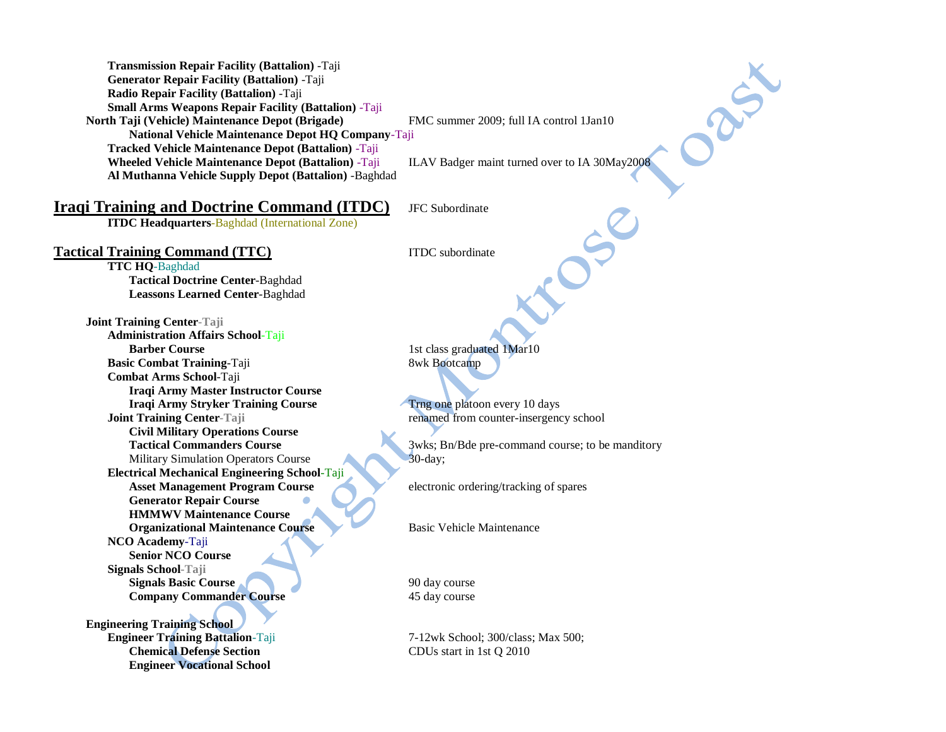**Transmission Repair Facility (Battalion)** -Taji **Generator Repair Facility (Battalion)** -Taji **Radio Repair Facility (Battalion)** -Taji **Small Arms Weapons Repair Facility (Battalion)** -Taji **North Taji (Vehicle) Maintenance Depot (Brigade)** FMC summer 2009; full IA control 1Jan10 **National Vehicle Maintenance Depot HQ Company**-Taji **Tracked Vehicle Maintenance Depot (Battalion)** -Taji **Wheeled Vehicle Maintenance Depot (Battalion)** -Taji ILAV Badger maint turned over to IA 30May2008 **Al Muthanna Vehicle Supply Depot (Battalion)** -Baghdad

DRES

## **Iraqi Training and Doctrine Command (ITDC)** JFC Subordinate

**ITDC Headquarters**-Baghdad (International Zone)

## **Tactical Training Command (TTC)** ITDC subordinate

**TTC HQ**-Baghdad **Tactical Doctrine Center**-Baghdad **Leassons Learned Center**-Baghdad

**Joint Training Center-Taji Administration Affairs School**-Taji **Barber Course** 1st class graduated 1Mar10 **Basic Combat Training-Taji** 8wk Bootcamp **Combat Arms School**-Taji **Iraqi Army Master Instructor Course Iraqi Army Stryker Training Course** Training Traging one platoon every 10 days **Joint Training Center-Taji** renamed from counter-insergency school **Civil Military Operations Course** Military Simulation Operators Course 20-day; **Electrical Mechanical Engineering School**-Taji Asset Management Program Course electronic ordering/tracking of spares **Generator Repair Course HMMWV Maintenance Course Organizational Maintenance Course** Basic Vehicle Maintenance **NCO Academy**-Taji **Senior NCO Course Signals School-Taji Signals Basic Course** 1 and 1 90 day course **Company Commander Course** 45 day course

**Engineering Training School Engineer Training Battalion**-Taji 7-12wk School; 300/class; Max 500; **Chemical Defense Section** CDUs start in 1st Q 2010 **Engineer Vocational School**

**Tactical Commanders Course** 3wks; Bn/Bde pre-command course; to be manditory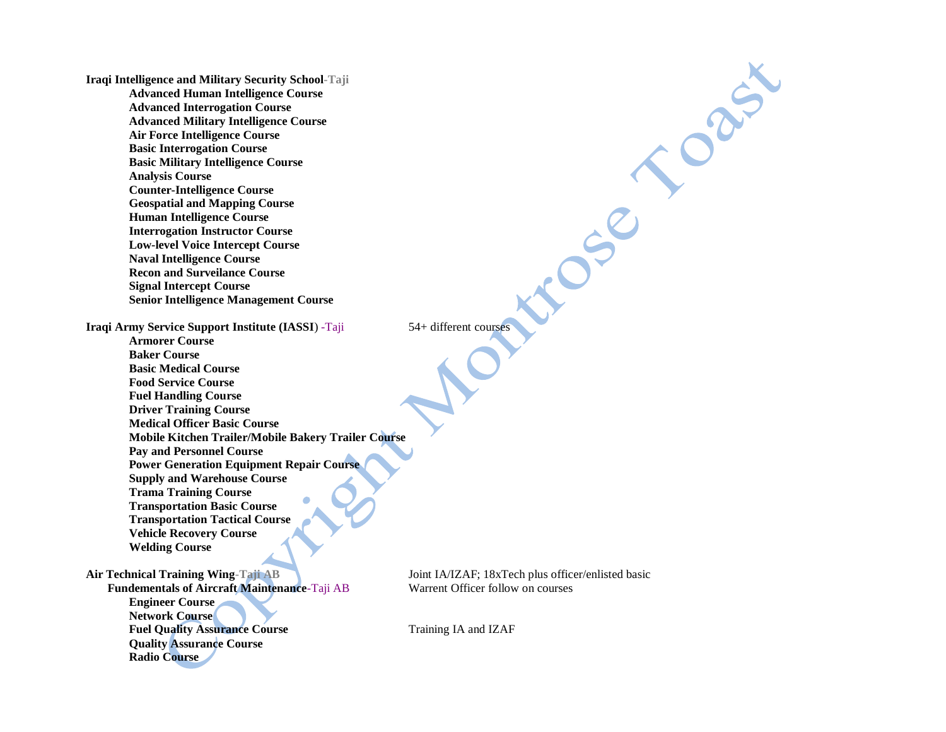**Iraqi Intelligence and Military Security School-Taji Advanced Human Intelligence Course Advanced Interrogation Course Advanced Military Intelligence Course Air Force Intelligence Course Basic Interrogation Course Basic Military Intelligence Course Analysis Course Counter-Intelligence Course Geospatial and Mapping Course Human Intelligence Course Interrogation Instructor Course Low-level Voice Intercept Course Naval Intelligence Course Recon and Surveilance Course Signal Intercept Course Senior Intelligence Management Course**

**Iraqi Army Service Support Institute (IASSI)** -Taji 54+ different courses

**Armorer Course Baker Course Basic Medical Course Food Service Course Fuel Handling Course Driver Training Course Medical Officer Basic Course Mobile Kitchen Trailer/Mobile Bakery Trailer Course Pay and Personnel Course Power Generation Equipment Repair Course Supply and Warehouse Course Trama Training Course Transportation Basic Course Transportation Tactical Course Vehicle Recovery Course Welding Course**

#### **Air Technical Training Wing-Taji AB** Joint IA/IZAF; 18xTech plus officer/enlisted basic

**Radio Course**

**Fundementals of Aircraft Maintenance**-Taji AB Warrent Officer follow on courses **Engineer Course Network Course Fuel Quality Assurance Course** Training IA and IZAF **Quality Assurance Course**

.080

CREA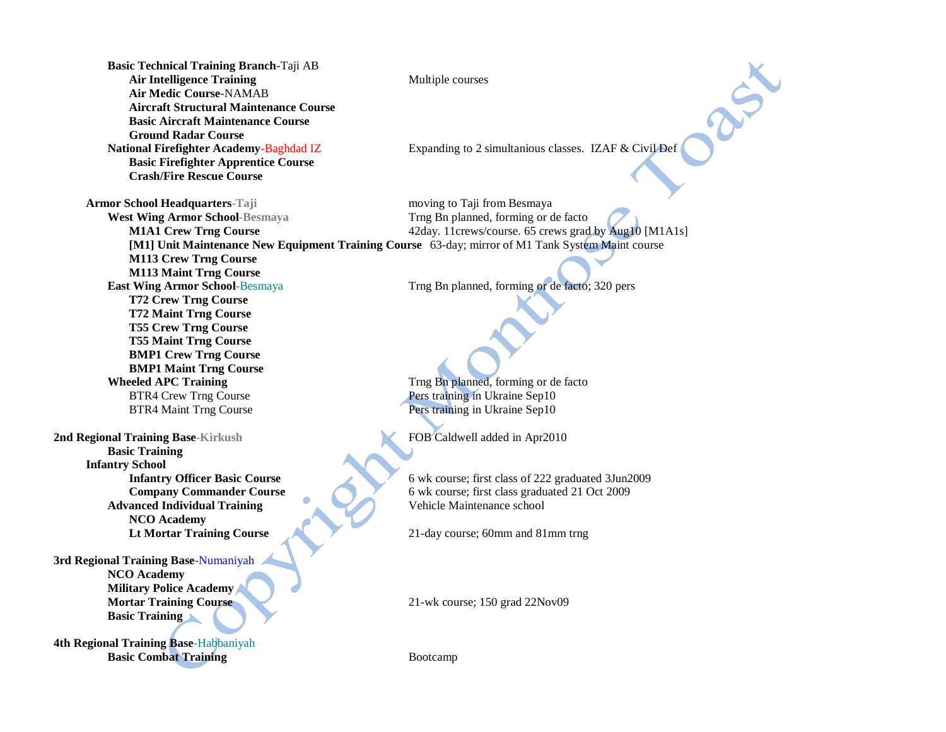**Basic Technical Training Branch**-Taji AB Air Intelligence Training Multiple courses **Air Medic Course**-NAMAB **Aircraft Structural Maintenance Course Basic Aircraft Maintenance Course Ground Radar Course** National Firefighter Academy-Baghdad IZ **Expanding to 2 simultanious classes.** IZAF & Civil Def **Basic Firefighter Apprentice Course Crash/Fire Rescue Course Armor School Headquarters-Taji** moving to Taji from Besmaya **M113 Crew Trng Course M113 Maint Trng Course East Wing Armor School**-Besmaya Trng Bn planned, forming or de facto; 320 pers **T72 Crew Trng Course T72 Maint Trng Course T55 Crew Trng Course T55 Maint Trng Course BMP1 Crew Trng Course BMP1 Maint Trng Course Wheeled APC Training** Trng Bn planned, forming or de facto BTR4 Crew Trng Course **Pers** training in Ukraine Sep10 BTR4 Maint Trng Course Pers training in Ukraine Sep10 **2nd Regional Training Base-Kirkush <b>FOB Caldwell added in Apr2010 Basic Training Infantry School Infantry Officer Basic Course** 6 wk course; first class of 222 graduated 3Jun2009 **Company Commander Course** 6 wk course; first class graduated 21 Oct 2009 **Advanced Individual Training** Vehicle Maintenance school **NCO Academy Lt Mortar Training Course** 21-day course; 60mm and 81mm trng **3rd Regional Training Base**-Numaniyah **NCO Academy Military Police Academy Mortar Training Course** 21-wk course; 150 grad 22Nov09 **Basic Training**

**4th Regional Training Base**-Habbaniyah **Basic Combat Training** Bootcamp

RSX

**West Wing Armor School-Besmaya** Trng Bn planned, forming or de facto **M1A1 Crew Trng Course**  $42 \text{day}$ . 11crews/course. 65 crews grad by Aug10 [M1A1s] **[M1] Unit Maintenance New Equipment Training Course** 63-day; mirror of M1 Tank System Maint course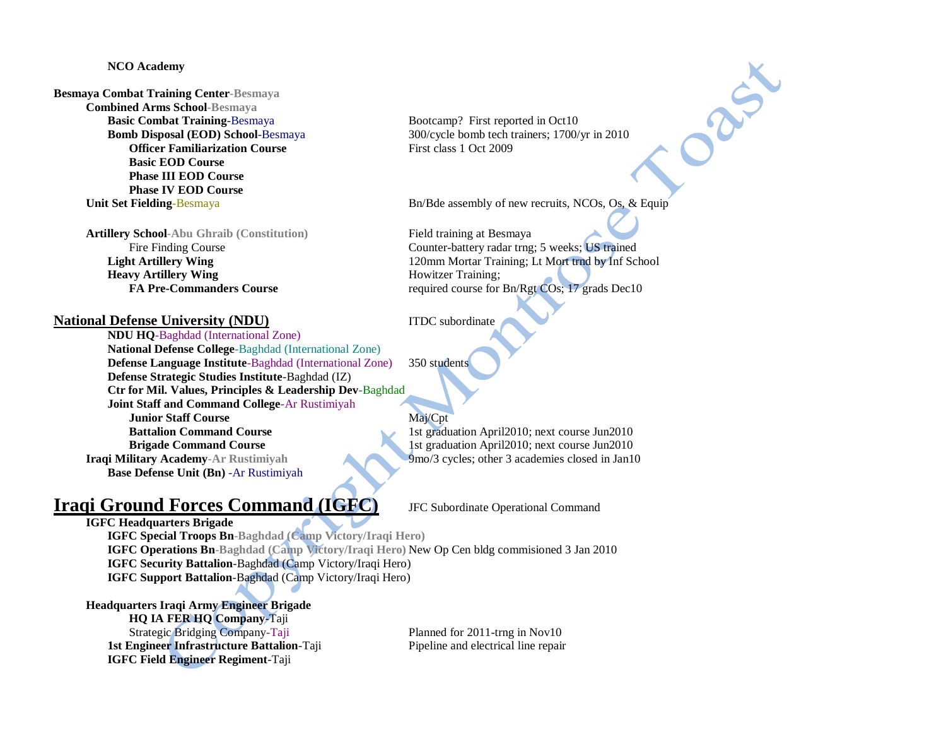### **NCO Academy**

# **Besmaya Combat Training Center-Besmaya Combined Arms School-Besmaya Basic Combat Training-Besmaya** Bootcamp? First reported in Oct10 **Officer Familiarization Course** First class 1 Oct 2009 **Basic EOD Course Phase III EOD Course Phase IV EOD Course**

**Artillery School-Abu Ghraib (Constitution)** Field training at Besmaya **Heavy Artillery Wing Howitzer Training**;

## **National Defense University (NDU)** ITDC subordinate

**NDU HQ**-Baghdad (International Zone) **National Defense College**-Baghdad (International Zone) **Defense Language Institute**-Baghdad (International Zone) 350 students **Defense Strategic Studies Institute**-Baghdad (IZ) **Ctr for Mil. Values, Principles & Leadership Dev**-Baghdad **Joint Staff and Command College**-Ar Rustimiyah **Junior Staff Course** Maj/Cpt **Battalion Command Course** 1st graduation April2010; next course Jun2010 **Brigade Command Course** 1st graduation April2010; next course Jun2010 **Iraqi Military Academy-Ar Rustimiyah 19mo/3 cycles; other 3 academies closed in Jan10 Base Defense Unit (Bn)** -Ar Rustimiyah

# **Iraqi Ground Forces Command (IGFC)** JFC Subordinate Operational Command

**IGFC Headquarters Brigade IGFC Special Troops Bn-Baghdad (Camp Victory/Iraqi Hero) IGFC Operations Bn-Baghdad (Camp Victory/Iraqi Hero)** New Op Cen bldg commisioned 3 Jan 2010 **IGFC Security Battalion**-Baghdad (Camp Victory/Iraqi Hero) **IGFC Support Battalion**-Baghdad (Camp Victory/Iraqi Hero)

**Headquarters Iraqi Army Engineer Brigade HQ IA FER HQ Company**-Taji Strategic Bridging Company-Taji Planned for 2011-trng in Nov10 **1st Engineer Infrastructure Battalion**-Taji Pipeline and electrical line repair **IGFC Field Engineer Regiment**-Taji

**Bomb Disposal (EOD) School**-Besmaya 300/cycle bomb tech trainers; 1700/yr in 2010

**Unit Set Fielding-Besmaya** Bn/Bde assembly of new recruits, NCOs, Os, & Equip

DRA

Fire Finding Course Counter-battery radar trng; 5 weeks; US trained **Light Artillery Wing** 120mm Mortar Training; Lt Mort trnd by Inf School **FA Pre-Commanders Course** required course for Bn/Rgt COs; 17 grads Dec10